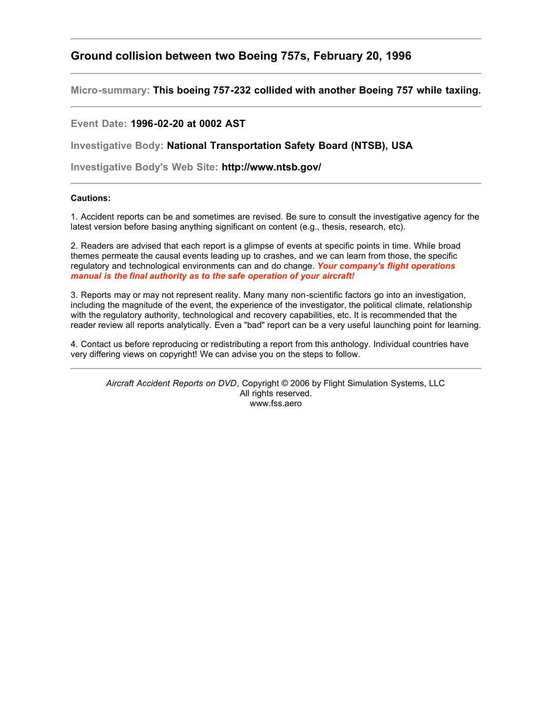## **Ground collision between two Boeing 757s, February 20, 1996**

**Micro-summary: This boeing 757-232 collided with another Boeing 757 while taxiing.**

## **Event Date: 1996-02-20 at 0002 AST**

**Investigative Body: National Transportation Safety Board (NTSB), USA**

**Investigative Body's Web Site: http://www.ntsb.gov/**

## **Cautions:**

1. Accident reports can be and sometimes are revised. Be sure to consult the investigative agency for the latest version before basing anything significant on content (e.g., thesis, research, etc).

2. Readers are advised that each report is a glimpse of events at specific points in time. While broad themes permeate the causal events leading up to crashes, and we can learn from those, the specific regulatory and technological environments can and do change. *Your company's flight operations manual is the final authority as to the safe operation of your aircraft!*

3. Reports may or may not represent reality. Many many non-scientific factors go into an investigation, including the magnitude of the event, the experience of the investigator, the political climate, relationship with the regulatory authority, technological and recovery capabilities, etc. It is recommended that the reader review all reports analytically. Even a "bad" report can be a very useful launching point for learning.

4. Contact us before reproducing or redistributing a report from this anthology. Individual countries have very differing views on copyright! We can advise you on the steps to follow.

*Aircraft Accident Reports on DVD*, Copyright © 2006 by Flight Simulation Systems, LLC All rights reserved. www.fss.aero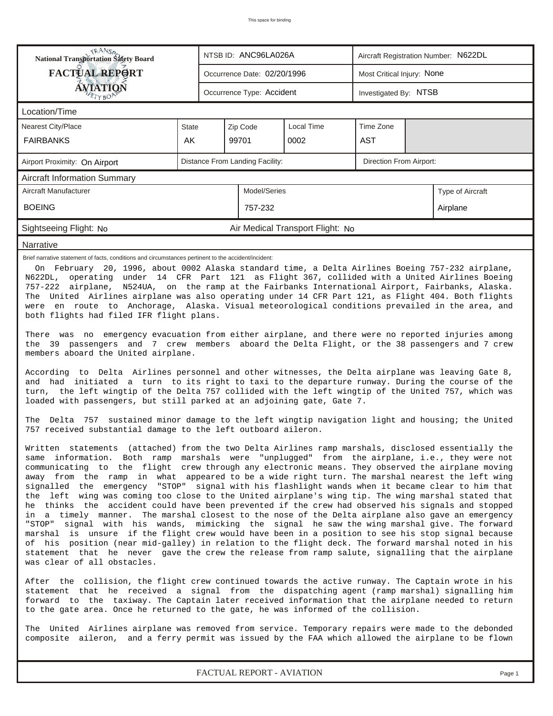| <b>National Transportation Safety Board</b>                                                                                                                                                                                                                                                                                                                                                                                                                                                                                                                                                                                                                                                                                                                                                                                                                                                                                                                                                                                                                                                                                                                                                                                                                                      |                                                                                                                                                                                                                                                                                                                                                                                                                                                                                                                                                            |                                     | NTSB ID: ANC96LA026A        |                                  | Aircraft Registration Number: N622DL |  |                  |  |  |
|----------------------------------------------------------------------------------------------------------------------------------------------------------------------------------------------------------------------------------------------------------------------------------------------------------------------------------------------------------------------------------------------------------------------------------------------------------------------------------------------------------------------------------------------------------------------------------------------------------------------------------------------------------------------------------------------------------------------------------------------------------------------------------------------------------------------------------------------------------------------------------------------------------------------------------------------------------------------------------------------------------------------------------------------------------------------------------------------------------------------------------------------------------------------------------------------------------------------------------------------------------------------------------|------------------------------------------------------------------------------------------------------------------------------------------------------------------------------------------------------------------------------------------------------------------------------------------------------------------------------------------------------------------------------------------------------------------------------------------------------------------------------------------------------------------------------------------------------------|-------------------------------------|-----------------------------|----------------------------------|--------------------------------------|--|------------------|--|--|
| <b>FACTUAL REPORT</b>                                                                                                                                                                                                                                                                                                                                                                                                                                                                                                                                                                                                                                                                                                                                                                                                                                                                                                                                                                                                                                                                                                                                                                                                                                                            |                                                                                                                                                                                                                                                                                                                                                                                                                                                                                                                                                            |                                     | Occurrence Date: 02/20/1996 |                                  | Most Critical Injury: None           |  |                  |  |  |
| <b>ÁVIATION</b><br>ETYBOP                                                                                                                                                                                                                                                                                                                                                                                                                                                                                                                                                                                                                                                                                                                                                                                                                                                                                                                                                                                                                                                                                                                                                                                                                                                        |                                                                                                                                                                                                                                                                                                                                                                                                                                                                                                                                                            |                                     | Occurrence Type: Accident   |                                  | Investigated By: NTSB                |  |                  |  |  |
| Location/Time                                                                                                                                                                                                                                                                                                                                                                                                                                                                                                                                                                                                                                                                                                                                                                                                                                                                                                                                                                                                                                                                                                                                                                                                                                                                    |                                                                                                                                                                                                                                                                                                                                                                                                                                                                                                                                                            |                                     |                             |                                  |                                      |  |                  |  |  |
| Nearest City/Place                                                                                                                                                                                                                                                                                                                                                                                                                                                                                                                                                                                                                                                                                                                                                                                                                                                                                                                                                                                                                                                                                                                                                                                                                                                               | <b>State</b>                                                                                                                                                                                                                                                                                                                                                                                                                                                                                                                                               |                                     | Zip Code                    | <b>Local Time</b>                | Time Zone                            |  |                  |  |  |
| <b>FAIRBANKS</b>                                                                                                                                                                                                                                                                                                                                                                                                                                                                                                                                                                                                                                                                                                                                                                                                                                                                                                                                                                                                                                                                                                                                                                                                                                                                 | AK                                                                                                                                                                                                                                                                                                                                                                                                                                                                                                                                                         |                                     | 99701                       | 0002                             | <b>AST</b>                           |  |                  |  |  |
| Airport Proximity: On Airport                                                                                                                                                                                                                                                                                                                                                                                                                                                                                                                                                                                                                                                                                                                                                                                                                                                                                                                                                                                                                                                                                                                                                                                                                                                    | Distance From Landing Facility:<br>Direction From Airport:                                                                                                                                                                                                                                                                                                                                                                                                                                                                                                 |                                     |                             |                                  |                                      |  |                  |  |  |
| <b>Aircraft Information Summary</b>                                                                                                                                                                                                                                                                                                                                                                                                                                                                                                                                                                                                                                                                                                                                                                                                                                                                                                                                                                                                                                                                                                                                                                                                                                              |                                                                                                                                                                                                                                                                                                                                                                                                                                                                                                                                                            |                                     |                             |                                  |                                      |  |                  |  |  |
| Aircraft Manufacturer                                                                                                                                                                                                                                                                                                                                                                                                                                                                                                                                                                                                                                                                                                                                                                                                                                                                                                                                                                                                                                                                                                                                                                                                                                                            |                                                                                                                                                                                                                                                                                                                                                                                                                                                                                                                                                            |                                     | Model/Series                |                                  |                                      |  | Type of Aircraft |  |  |
| <b>BOEING</b>                                                                                                                                                                                                                                                                                                                                                                                                                                                                                                                                                                                                                                                                                                                                                                                                                                                                                                                                                                                                                                                                                                                                                                                                                                                                    |                                                                                                                                                                                                                                                                                                                                                                                                                                                                                                                                                            |                                     | 757-232                     |                                  |                                      |  | Airplane         |  |  |
| Sightseeing Flight: No                                                                                                                                                                                                                                                                                                                                                                                                                                                                                                                                                                                                                                                                                                                                                                                                                                                                                                                                                                                                                                                                                                                                                                                                                                                           |                                                                                                                                                                                                                                                                                                                                                                                                                                                                                                                                                            |                                     |                             | Air Medical Transport Flight: No |                                      |  |                  |  |  |
| Narrative                                                                                                                                                                                                                                                                                                                                                                                                                                                                                                                                                                                                                                                                                                                                                                                                                                                                                                                                                                                                                                                                                                                                                                                                                                                                        |                                                                                                                                                                                                                                                                                                                                                                                                                                                                                                                                                            |                                     |                             |                                  |                                      |  |                  |  |  |
|                                                                                                                                                                                                                                                                                                                                                                                                                                                                                                                                                                                                                                                                                                                                                                                                                                                                                                                                                                                                                                                                                                                                                                                                                                                                                  | On February 20, 1996, about 0002 Alaska standard time, a Delta Airlines Boeing 757-232 airplane,<br>N622DL, operating under 14 CFR Part 121 as Flight 367, collided with a United Airlines Boeing<br>757-222 airplane, N524UA, on the ramp at the Fairbanks International Airport, Fairbanks, Alaska.<br>The United Airlines airplane was also operating under 14 CFR Part 121, as Flight 404. Both flights<br>were en route to Anchorage, Alaska. Visual meteorological conditions prevailed in the area, and<br>both flights had filed IFR flight plans. |                                     |                             |                                  |                                      |  |                  |  |  |
| There was no emergency evacuation from either airplane, and there were no reported injuries among<br>the 39 passengers and 7 crew members aboard the Delta Flight, or the 38 passengers and 7 crew<br>members aboard the United airplane.                                                                                                                                                                                                                                                                                                                                                                                                                                                                                                                                                                                                                                                                                                                                                                                                                                                                                                                                                                                                                                        |                                                                                                                                                                                                                                                                                                                                                                                                                                                                                                                                                            |                                     |                             |                                  |                                      |  |                  |  |  |
| According to Delta Airlines personnel and other witnesses, the Delta airplane was leaving Gate 8,<br>and had initiated a turn to its right to taxi to the departure runway. During the course of the<br>turn, the left wingtip of the Delta 757 collided with the left wingtip of the United 757, which was<br>loaded with passengers, but still parked at an adjoining gate, Gate 7.                                                                                                                                                                                                                                                                                                                                                                                                                                                                                                                                                                                                                                                                                                                                                                                                                                                                                            |                                                                                                                                                                                                                                                                                                                                                                                                                                                                                                                                                            |                                     |                             |                                  |                                      |  |                  |  |  |
|                                                                                                                                                                                                                                                                                                                                                                                                                                                                                                                                                                                                                                                                                                                                                                                                                                                                                                                                                                                                                                                                                                                                                                                                                                                                                  | The Delta 757 sustained minor damage to the left wingtip navigation light and housing; the United<br>757 received substantial damage to the left outboard aileron.                                                                                                                                                                                                                                                                                                                                                                                         |                                     |                             |                                  |                                      |  |                  |  |  |
| Written statements (attached) from the two Delta Airlines ramp marshals, disclosed essentially the<br>same information. Both ramp marshals were "unplugged" from the airplane, i.e., they were not<br>communicating to the flight crew through any electronic means. They observed the airplane moving<br>away from the ramp in what appeared to be a wide right turn. The marshal nearest the left wing<br>signalled the emergency "STOP" signal with his flashlight wands when it became clear to him that<br>left wing was coming too close to the United airplane's wing tip. The wing marshal stated that<br>the<br>he thinks the accident could have been prevented if the crew had observed his signals and stopped<br>in a timely manner. The marshal closest to the nose of the Delta airplane also gave an emergency<br>" STOP"<br>signal with his wands, mimicking the signal he saw the wing marshal give. The forward<br>marshal is unsure if the flight crew would have been in a position to see his stop signal because<br>of his position (near mid-galley) in relation to the flight deck. The forward marshal noted in his<br>statement that he never gave the crew the release from ramp salute, signalling that the airplane<br>was clear of all obstacles. |                                                                                                                                                                                                                                                                                                                                                                                                                                                                                                                                                            |                                     |                             |                                  |                                      |  |                  |  |  |
|                                                                                                                                                                                                                                                                                                                                                                                                                                                                                                                                                                                                                                                                                                                                                                                                                                                                                                                                                                                                                                                                                                                                                                                                                                                                                  | After the collision, the flight crew continued towards the active runway. The Captain wrote in his<br>statement that he received a signal from the dispatching agent (ramp marshal) signalling him<br>forward to the taxiway. The Captain later received information that the airplane needed to return<br>to the gate area. Once he returned to the gate, he was informed of the collision.                                                                                                                                                               |                                     |                             |                                  |                                      |  |                  |  |  |
| The United Airlines airplane was removed from service. Temporary repairs were made to the debonded<br>composite aileron, and a ferry permit was issued by the FAA which allowed the airplane to be flown                                                                                                                                                                                                                                                                                                                                                                                                                                                                                                                                                                                                                                                                                                                                                                                                                                                                                                                                                                                                                                                                         |                                                                                                                                                                                                                                                                                                                                                                                                                                                                                                                                                            |                                     |                             |                                  |                                      |  |                  |  |  |
|                                                                                                                                                                                                                                                                                                                                                                                                                                                                                                                                                                                                                                                                                                                                                                                                                                                                                                                                                                                                                                                                                                                                                                                                                                                                                  |                                                                                                                                                                                                                                                                                                                                                                                                                                                                                                                                                            | FACTUAL REPORT - AVIATION<br>Page 1 |                             |                                  |                                      |  |                  |  |  |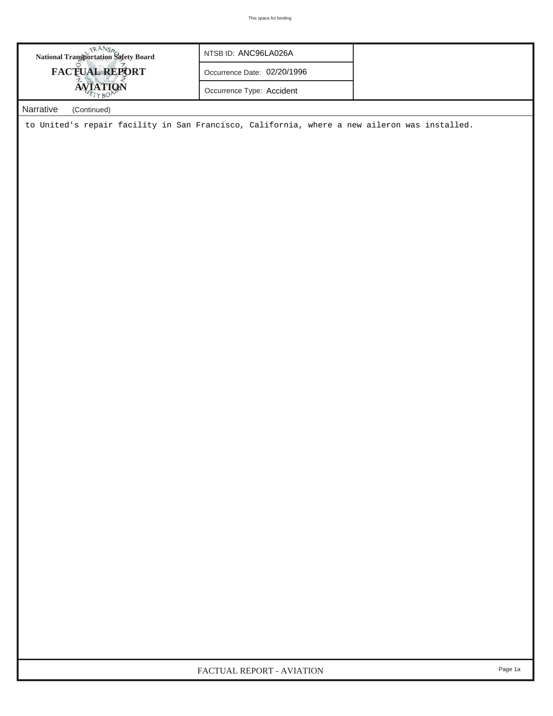| National Transportation Safety Board<br><b>FACTUAL REPORT</b>                                | NTSB ID: ANC96LA026A<br>Occurrence Date: 02/20/1996<br>Occurrence Type: Accident |  |
|----------------------------------------------------------------------------------------------|----------------------------------------------------------------------------------|--|
| Narrative<br>(Continued)                                                                     |                                                                                  |  |
| to United's repair facility in San Francisco, California, where a new aileron was installed. |                                                                                  |  |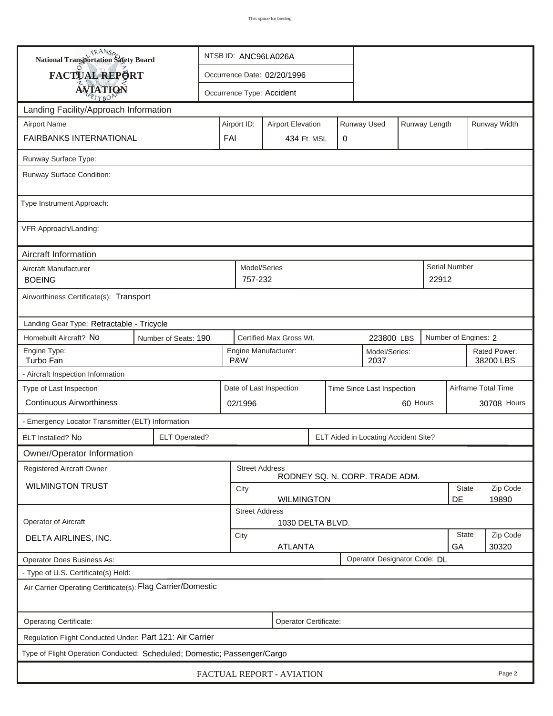| <b>National Transportation Safety Board</b>                              |                                                                         |  | NTSB ID: ANC96LA026A                                      |                             |                  |                                      |                           |                   |                      |             |  |
|--------------------------------------------------------------------------|-------------------------------------------------------------------------|--|-----------------------------------------------------------|-----------------------------|------------------|--------------------------------------|---------------------------|-------------------|----------------------|-------------|--|
| <b>FACTUAL REPORT</b>                                                    |                                                                         |  |                                                           | Occurrence Date: 02/20/1996 |                  |                                      |                           |                   |                      |             |  |
| <b>AVIATION</b>                                                          |                                                                         |  |                                                           | Occurrence Type: Accident   |                  |                                      |                           |                   |                      |             |  |
| Landing Facility/Approach Information                                    |                                                                         |  |                                                           |                             |                  |                                      |                           |                   |                      |             |  |
| <b>Airport Name</b>                                                      | Runway Used<br>Runway Length<br>Airport ID:<br><b>Airport Elevation</b> |  |                                                           |                             |                  |                                      |                           | Runway Width      |                      |             |  |
| <b>FAIRBANKS INTERNATIONAL</b>                                           |                                                                         |  | FAI                                                       | 434 Ft. MSL                 | 0                |                                      |                           |                   |                      |             |  |
| Runway Surface Type:                                                     |                                                                         |  |                                                           |                             |                  |                                      |                           |                   |                      |             |  |
| Runway Surface Condition:                                                |                                                                         |  |                                                           |                             |                  |                                      |                           |                   |                      |             |  |
| Type Instrument Approach:                                                |                                                                         |  |                                                           |                             |                  |                                      |                           |                   |                      |             |  |
| VFR Approach/Landing:                                                    |                                                                         |  |                                                           |                             |                  |                                      |                           |                   |                      |             |  |
| Aircraft Information                                                     |                                                                         |  |                                                           |                             |                  |                                      |                           |                   |                      |             |  |
| Aircraft Manufacturer<br><b>BOEING</b>                                   |                                                                         |  | 757-232                                                   | Model/Series                |                  |                                      |                           | 22912             | Serial Number        |             |  |
| Airworthiness Certificate(s): Transport                                  |                                                                         |  |                                                           |                             |                  |                                      |                           |                   |                      |             |  |
| Landing Gear Type: Retractable - Tricycle                                |                                                                         |  |                                                           |                             |                  |                                      |                           |                   |                      |             |  |
| Homebuilt Aircraft? No                                                   | Number of Seats: 190                                                    |  |                                                           | Certified Max Gross Wt.     |                  | 223800 LBS                           |                           |                   | Number of Engines: 2 |             |  |
| Engine Type:<br>Turbo Fan                                                | Engine Manufacturer:<br>Model/Series:<br>P&W<br>2037                    |  |                                                           |                             |                  |                                      | Rated Power:<br>38200 LBS |                   |                      |             |  |
| - Aircraft Inspection Information                                        |                                                                         |  |                                                           |                             |                  |                                      |                           |                   |                      |             |  |
| Type of Last Inspection                                                  |                                                                         |  | Date of Last Inspection<br>Time Since Last Inspection     |                             |                  |                                      |                           |                   | Airframe Total Time  |             |  |
| <b>Continuous Airworthiness</b>                                          |                                                                         |  | 60 Hours<br>02/1996                                       |                             |                  |                                      |                           |                   |                      | 30708 Hours |  |
| - Emergency Locator Transmitter (ELT) Information                        |                                                                         |  |                                                           |                             |                  |                                      |                           |                   |                      |             |  |
| ELT Installed? No                                                        | <b>ELT Operated?</b>                                                    |  |                                                           |                             |                  | ELT Aided in Locating Accident Site? |                           |                   |                      |             |  |
| Owner/Operator Information                                               |                                                                         |  |                                                           |                             |                  |                                      |                           |                   |                      |             |  |
| <b>Registered Aircraft Owner</b>                                         |                                                                         |  |                                                           | <b>Street Address</b>       |                  | RODNEY SQ. N. CORP. TRADE ADM.       |                           |                   |                      |             |  |
| <b>WILMINGTON TRUST</b>                                                  |                                                                         |  | <b>State</b><br>City                                      |                             |                  |                                      |                           |                   |                      | Zip Code    |  |
|                                                                          |                                                                         |  | DE<br>19890<br><b>WILMINGTON</b><br><b>Street Address</b> |                             |                  |                                      |                           |                   |                      |             |  |
| Operator of Aircraft                                                     |                                                                         |  |                                                           |                             | 1030 DELTA BLVD. |                                      |                           |                   |                      |             |  |
| DELTA AIRLINES, INC.                                                     | <b>State</b><br>City<br><b>ATLANTA</b><br>GA                            |  |                                                           |                             |                  |                                      |                           | Zip Code<br>30320 |                      |             |  |
| <b>Operator Does Business As:</b>                                        |                                                                         |  |                                                           |                             |                  | Operator Designator Code: DL         |                           |                   |                      |             |  |
| - Type of U.S. Certificate(s) Held:                                      |                                                                         |  |                                                           |                             |                  |                                      |                           |                   |                      |             |  |
|                                                                          | Air Carrier Operating Certificate(s): Flag Carrier/Domestic             |  |                                                           |                             |                  |                                      |                           |                   |                      |             |  |
| Operating Certificate:                                                   | Operator Certificate:                                                   |  |                                                           |                             |                  |                                      |                           |                   |                      |             |  |
| Regulation Flight Conducted Under: Part 121: Air Carrier                 |                                                                         |  |                                                           |                             |                  |                                      |                           |                   |                      |             |  |
| Type of Flight Operation Conducted: Scheduled; Domestic; Passenger/Cargo |                                                                         |  |                                                           |                             |                  |                                      |                           |                   |                      |             |  |
| FACTUAL REPORT - AVIATION<br>Page 2                                      |                                                                         |  |                                                           |                             |                  |                                      |                           |                   |                      |             |  |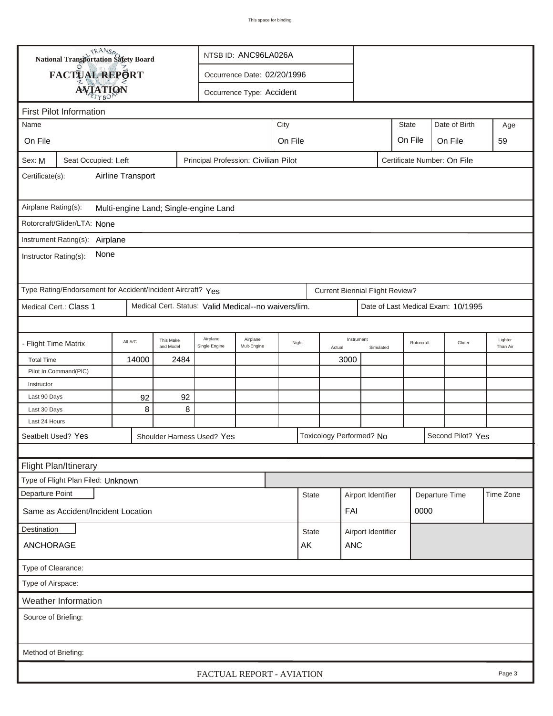| <b>National Transportation Safety Board</b>                                                          |                                              |                        | NTSB ID: ANC96LA026A                                 |                             |         |                                    |                    |                                        |           |                |            |                                    |                     |
|------------------------------------------------------------------------------------------------------|----------------------------------------------|------------------------|------------------------------------------------------|-----------------------------|---------|------------------------------------|--------------------|----------------------------------------|-----------|----------------|------------|------------------------------------|---------------------|
| FACTUAL REPORT                                                                                       |                                              |                        |                                                      | Occurrence Date: 02/20/1996 |         |                                    |                    |                                        |           |                |            |                                    |                     |
|                                                                                                      |                                              |                        |                                                      |                             |         |                                    |                    |                                        |           |                |            |                                    |                     |
|                                                                                                      | <b>AVIATION</b><br>Occurrence Type: Accident |                        |                                                      |                             |         |                                    |                    |                                        |           |                |            |                                    |                     |
| <b>First Pilot Information</b>                                                                       |                                              |                        |                                                      |                             |         |                                    |                    |                                        |           |                |            |                                    |                     |
| City<br>Name                                                                                         |                                              |                        |                                                      |                             |         |                                    |                    |                                        |           | <b>State</b>   |            | Date of Birth                      | Age                 |
| On File                                                                                              |                                              |                        |                                                      |                             | On File |                                    |                    |                                        |           | On File        |            | On File                            | 59                  |
| Principal Profession: Civilian Pilot<br>Certificate Number: On File<br>Seat Occupied: Left<br>Sex: M |                                              |                        |                                                      |                             |         |                                    |                    |                                        |           |                |            |                                    |                     |
| Airline Transport<br>Certificate(s):                                                                 |                                              |                        |                                                      |                             |         |                                    |                    |                                        |           |                |            |                                    |                     |
| Airplane Rating(s):<br>Multi-engine Land; Single-engine Land                                         |                                              |                        |                                                      |                             |         |                                    |                    |                                        |           |                |            |                                    |                     |
| Rotorcraft/Glider/LTA: None                                                                          |                                              |                        |                                                      |                             |         |                                    |                    |                                        |           |                |            |                                    |                     |
| Instrument Rating(s): Airplane                                                                       |                                              |                        |                                                      |                             |         |                                    |                    |                                        |           |                |            |                                    |                     |
| Instructor Rating(s):                                                                                | None                                         |                        |                                                      |                             |         |                                    |                    |                                        |           |                |            |                                    |                     |
| Type Rating/Endorsement for Accident/Incident Aircraft? Yes                                          |                                              |                        |                                                      |                             |         |                                    |                    | <b>Current Biennial Flight Review?</b> |           |                |            |                                    |                     |
| Medical Cert.: Class 1                                                                               |                                              |                        | Medical Cert. Status: Valid Medical--no waivers/lim. |                             |         |                                    |                    |                                        |           |                |            | Date of Last Medical Exam: 10/1995 |                     |
|                                                                                                      |                                              |                        |                                                      |                             |         |                                    |                    |                                        |           |                |            |                                    |                     |
| - Flight Time Matrix                                                                                 | All A/C                                      | This Make<br>and Model | Airplane<br>Single Engine                            | Airplane<br>Mult-Engine     | Night   |                                    | Actual             | Instrument                             | Simulated |                | Rotorcraft | Glider                             | Lighter<br>Than Air |
| <b>Total Time</b>                                                                                    | 14000                                        | 2484                   |                                                      |                             |         |                                    |                    | 3000                                   |           |                |            |                                    |                     |
| Pilot In Command(PIC)                                                                                |                                              |                        |                                                      |                             |         |                                    |                    |                                        |           |                |            |                                    |                     |
| Instructor                                                                                           |                                              |                        |                                                      |                             |         |                                    |                    |                                        |           |                |            |                                    |                     |
| Last 90 Days                                                                                         | 92                                           | 92                     |                                                      |                             |         |                                    |                    |                                        |           |                |            |                                    |                     |
| Last 30 Days                                                                                         | 8                                            | 8                      |                                                      |                             |         |                                    |                    |                                        |           |                |            |                                    |                     |
| Last 24 Hours                                                                                        |                                              |                        |                                                      |                             |         |                                    |                    |                                        |           |                |            |                                    |                     |
| Seatbelt Used? Yes                                                                                   |                                              |                        | Shoulder Harness Used? Yes                           |                             |         |                                    |                    | Toxicology Performed? No               |           |                |            | Second Pilot? Yes                  |                     |
|                                                                                                      |                                              |                        |                                                      |                             |         |                                    |                    |                                        |           |                |            |                                    |                     |
| Flight Plan/Itinerary                                                                                |                                              |                        |                                                      |                             |         |                                    |                    |                                        |           |                |            |                                    |                     |
| Type of Flight Plan Filed: Unknown                                                                   |                                              |                        |                                                      |                             |         |                                    |                    |                                        |           |                |            |                                    |                     |
| Departure Point                                                                                      |                                              |                        |                                                      |                             |         | <b>State</b>                       | Airport Identifier |                                        |           | Departure Time |            | Time Zone                          |                     |
| Same as Accident/Incident Location                                                                   |                                              |                        |                                                      |                             |         |                                    |                    | FAI                                    |           |                | 0000       |                                    |                     |
| Destination                                                                                          |                                              |                        |                                                      |                             |         | Airport Identifier<br><b>State</b> |                    |                                        |           |                |            |                                    |                     |
| ANCHORAGE                                                                                            |                                              |                        |                                                      |                             |         | AK<br><b>ANC</b>                   |                    |                                        |           |                |            |                                    |                     |
| Type of Clearance:                                                                                   |                                              |                        |                                                      |                             |         |                                    |                    |                                        |           |                |            |                                    |                     |
| Type of Airspace:                                                                                    |                                              |                        |                                                      |                             |         |                                    |                    |                                        |           |                |            |                                    |                     |
| Weather Information                                                                                  |                                              |                        |                                                      |                             |         |                                    |                    |                                        |           |                |            |                                    |                     |
| Source of Briefing:                                                                                  |                                              |                        |                                                      |                             |         |                                    |                    |                                        |           |                |            |                                    |                     |
|                                                                                                      |                                              |                        |                                                      |                             |         |                                    |                    |                                        |           |                |            |                                    |                     |
| Method of Briefing:                                                                                  |                                              |                        |                                                      |                             |         |                                    |                    |                                        |           |                |            |                                    |                     |
|                                                                                                      |                                              |                        | FACTUAL REPORT - AVIATION                            |                             |         |                                    |                    |                                        |           |                |            |                                    | Page 3              |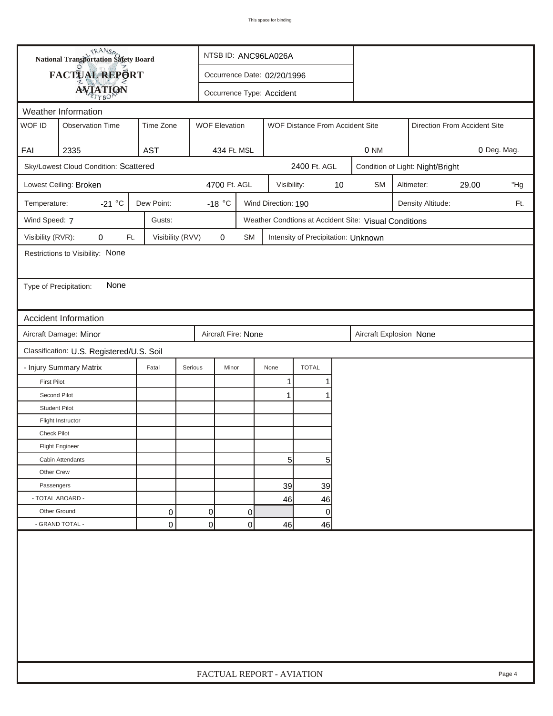|                        | <b>National Transportation Safety Board</b> |                  |                | NTSB ID: ANC96LA026A        |    |                     |                                     |    |                                                       |                                  |            |       |     |  |
|------------------------|---------------------------------------------|------------------|----------------|-----------------------------|----|---------------------|-------------------------------------|----|-------------------------------------------------------|----------------------------------|------------|-------|-----|--|
|                        | FACTUAL REPORT                              |                  |                | Occurrence Date: 02/20/1996 |    |                     |                                     |    |                                                       |                                  |            |       |     |  |
|                        | <b>AVIATION</b>                             |                  |                | Occurrence Type: Accident   |    |                     |                                     |    |                                                       |                                  |            |       |     |  |
|                        | Weather Information                         |                  |                |                             |    |                     |                                     |    |                                                       |                                  |            |       |     |  |
| WOF ID                 | <b>Observation Time</b>                     | Time Zone        |                | <b>WOF Elevation</b>        |    |                     | WOF Distance From Accident Site     |    | Direction From Accident Site                          |                                  |            |       |     |  |
|                        |                                             |                  |                |                             |    |                     |                                     |    |                                                       |                                  |            |       |     |  |
| FAI                    | 2335                                        | <b>AST</b>       |                | 434 Ft. MSL                 |    |                     |                                     |    | 0 NM<br>0 Deg. Mag.                                   |                                  |            |       |     |  |
|                        | Sky/Lowest Cloud Condition: Scattered       |                  |                |                             |    |                     | 2400 Ft. AGL                        |    |                                                       | Condition of Light: Night/Bright |            |       |     |  |
|                        | Lowest Ceiling: Broken                      |                  |                | 4700 Ft. AGL                |    | Visibility:         |                                     | 10 | <b>SM</b>                                             |                                  | Altimeter: | 29.00 | "Hg |  |
| Temperature:           | -21 $^{\circ}$ C                            | Dew Point:       |                | -18 $\degree$ C             |    | Wind Direction: 190 |                                     |    |                                                       | Density Altitude:<br>Ft.         |            |       |     |  |
| Wind Speed: 7          |                                             | Gusts:           |                |                             |    |                     |                                     |    | Weather Condtions at Accident Site: Visual Conditions |                                  |            |       |     |  |
| Visibility (RVR):      | 0<br>Ft.                                    | Visibility (RVV) |                | 0                           | SM |                     | Intensity of Precipitation: Unknown |    |                                                       |                                  |            |       |     |  |
|                        | Restrictions to Visibility: None            |                  |                |                             |    |                     |                                     |    |                                                       |                                  |            |       |     |  |
|                        |                                             |                  |                |                             |    |                     |                                     |    |                                                       |                                  |            |       |     |  |
| Type of Precipitation: | None                                        |                  |                |                             |    |                     |                                     |    |                                                       |                                  |            |       |     |  |
|                        |                                             |                  |                |                             |    |                     |                                     |    |                                                       |                                  |            |       |     |  |
|                        | <b>Accident Information</b>                 |                  |                |                             |    |                     |                                     |    |                                                       |                                  |            |       |     |  |
|                        | Aircraft Damage: Minor                      |                  |                | Aircraft Fire: None         |    |                     |                                     |    | Aircraft Explosion None                               |                                  |            |       |     |  |
|                        | Classification: U.S. Registered/U.S. Soil   |                  |                |                             |    |                     |                                     |    |                                                       |                                  |            |       |     |  |
|                        | - Injury Summary Matrix                     | Fatal            | Serious        | Minor                       |    | None                | <b>TOTAL</b>                        |    |                                                       |                                  |            |       |     |  |
| <b>First Pilot</b>     |                                             |                  |                |                             |    | 1                   | 1                                   |    |                                                       |                                  |            |       |     |  |
| Second Pilot           |                                             |                  |                |                             |    | $\mathbf{1}$        | 1                                   |    |                                                       |                                  |            |       |     |  |
| <b>Student Pilot</b>   |                                             |                  |                |                             |    |                     |                                     |    |                                                       |                                  |            |       |     |  |
|                        | Flight Instructor                           |                  |                |                             |    |                     |                                     |    |                                                       |                                  |            |       |     |  |
| <b>Check Pilot</b>     |                                             |                  |                |                             |    |                     |                                     |    |                                                       |                                  |            |       |     |  |
|                        | <b>Flight Engineer</b>                      |                  |                |                             |    |                     |                                     |    |                                                       |                                  |            |       |     |  |
|                        | Cabin Attendants                            |                  |                |                             |    | $5 \mid$            | 5                                   |    |                                                       |                                  |            |       |     |  |
| Other Crew             |                                             |                  |                |                             |    |                     |                                     |    |                                                       |                                  |            |       |     |  |
| Passengers             |                                             |                  |                |                             |    | 39                  | 39                                  |    |                                                       |                                  |            |       |     |  |
| - TOTAL ABOARD -       |                                             |                  |                |                             |    | 46                  | 46                                  |    |                                                       |                                  |            |       |     |  |
| Other Ground           |                                             | 0                | $\overline{0}$ |                             | 0  |                     | $\overline{0}$                      |    |                                                       |                                  |            |       |     |  |
|                        | - GRAND TOTAL -                             | 0                | $\Omega$       |                             | 0  | 46                  | 46                                  |    |                                                       |                                  |            |       |     |  |
|                        |                                             |                  |                |                             |    |                     |                                     |    |                                                       |                                  |            |       |     |  |
|                        | FACTUAL REPORT - AVIATION<br>Page 4         |                  |                |                             |    |                     |                                     |    |                                                       |                                  |            |       |     |  |